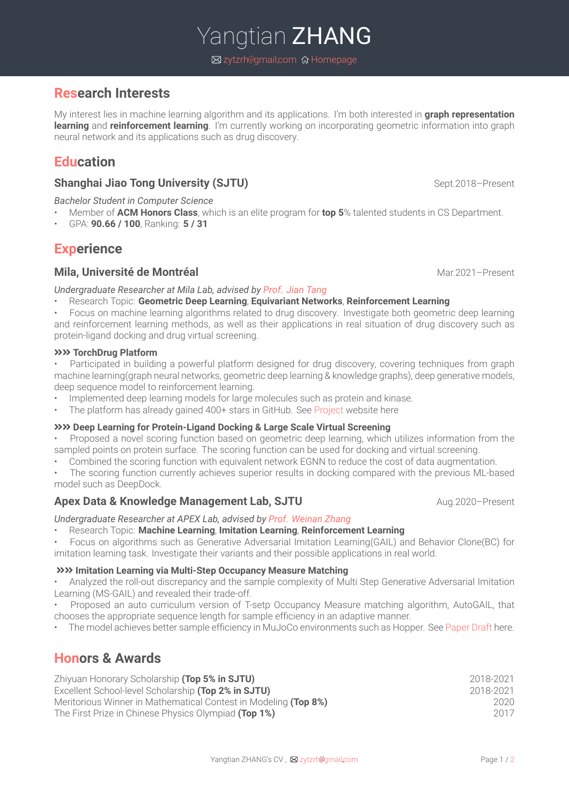# **Research Interests**

My interest lies in machine learning algorithm and its applications. I'm both interested in **graph representation learning** and **reinforcement learning**. I'm currently working on incorporating geometric information into graph neural network and its applications such as drug discovery.

# **Education**

## **Shanghai Jiao Tong University (SJTU)** Shanghai Jiao Tong University (SJTU)

*Bachelor Student in Computer Science*

- Member of **ACM Honors Class**, which is an elite program for **top 5**% talented students in CS Department.
- GPA: **90.66 / 100**, Ranking: **5 / 31**

# **Experience**

## **Mila, Université de Montréal** Mateur de la commune de la mateur de la mateur de la mateur de la mateur de la mateur de la mateur de la mateur de la mateur de la mateur de la mateur de la mateur de la mateur de la mateur d

#### *Undergraduate Researcher at Mila Lab, advised by Prof. Jian [Tang](https://jian-tang.com/)*

- Research Topic: **Geometric Deep Learning**, **Equivariant Networks**, **Reinforcement Learning**
- Focus on machine learning algorithms related to drug discovery. Investigate both geometric deep learning and reinforcement learning methods, as well as their applications in real situation of drug discovery such as protein-ligand docking and drug virtual screening.

#### **XXX** TorchDrug Platform

• Participated in building a powerful platform designed for drug discovery, covering techniques from graph machine learning(graph neural networks, geometric deep learning & knowledge graphs), deep generative models, deep sequence model to reinforcement learning.

- Implemented deep learning models for large molecules such as protein and kinase.
- The platform has already gained 400+ stars in GitHub. See [Project](https://torchdrug.ai/) website here

#### úú **Deep Learning for Protein-Ligand Docking & Large Scale Virtual Screening**

- Proposed a novel scoring function based on geometric deep learning, which utilizes information from the sampled points on protein surface. The scoring function can be used for docking and virtual screening.
- Combined the scoring function with equivalent network EGNN to reduce the cost of data augmentation.
- The scoring function currently achieves superior results in docking compared with the previous ML-based model such as DeepDock.

## **Apex Data & Knowledge Management Lab, SJTU** Aug.2020–Present

## *Undergraduate Researcher at APEX Lab, advised by Prof. [Weinan](http://wnzhang.net/) Zhang*

## • Research Topic: **Machine Learning**, **Imitation Learning**, **Reinforcement Learning**

• Focus on algorithms such as Generative Adversarial Imitation Learning(GAIL) and Behavior Clone(BC) for imitation learning task. Investigate their variants and their possible applications in real world.

## úú **Imitation Learning via Multi-Step Occupancy Measure Matching**

• Analyzed the roll-out discrepancy and the sample complexity of Multi Step Generative Adversarial Imitation Learning (MS-GAIL) and revealed their trade-off.

• Proposed an auto curriculum version of T-setp Occupancy Measure matching algorithm, AutoGAIL, that chooses the appropriate sequence length for sample efficiency in an adaptive manner.

• The model achieves better sample efficiency in MuJoCo environments such as Hopper. See [Paper](https://zytzrh.github.io/src/autoGAIL.pdf) Draft here.

# **Honors & Awards**

| Zhiyuan Honorary Scholarship (Top 5% in SJTU)                                                                                  | 2018-2021 |
|--------------------------------------------------------------------------------------------------------------------------------|-----------|
| Excellent School-level Scholarship (Top 2% in SJTU)                                                                            | 2018-2021 |
| Meritorious Winner in Mathematical Contest in Modeling (Top 8%)<br>The First Prize in Chinese Physics Olympiad <b>(Top 1%)</b> | 2020      |
|                                                                                                                                | 2017      |

Yangtian **ZHANG ⊠** zytzrh@gmail.com **@** [Homepage](https://zytzrh.github.io/)